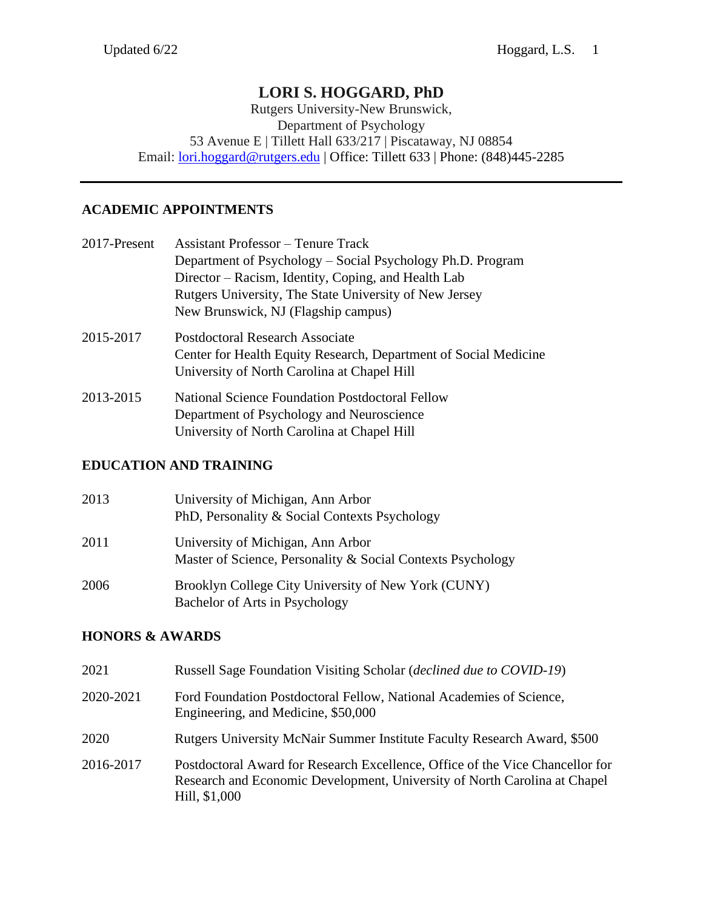# **LORI S. HOGGARD, PhD**

Rutgers University-New Brunswick, Department of Psychology 53 Avenue E | Tillett Hall 633/217 | Piscataway, NJ 08854 Email: [lori.hoggard@rutgers.edu](mailto:lori.hoggard@rutgers.edu) | Office: Tillett 633 | Phone: (848)445-2285

## **ACADEMIC APPOINTMENTS**

| 2017-Present | <b>Assistant Professor</b> – Tenure Track                        |
|--------------|------------------------------------------------------------------|
|              | Department of Psychology - Social Psychology Ph.D. Program       |
|              | Director – Racism, Identity, Coping, and Health Lab              |
|              | Rutgers University, The State University of New Jersey           |
|              | New Brunswick, NJ (Flagship campus)                              |
| 2015-2017    | Postdoctoral Research Associate                                  |
|              | Center for Health Equity Research, Department of Social Medicine |
|              | University of North Carolina at Chapel Hill                      |
| 2013-2015    | <b>National Science Foundation Postdoctoral Fellow</b>           |
|              | Department of Psychology and Neuroscience                        |
|              | University of North Carolina at Chapel Hill                      |

# **EDUCATION AND TRAINING**

| 2013 | University of Michigan, Ann Arbor<br>PhD, Personality & Social Contexts Psychology               |
|------|--------------------------------------------------------------------------------------------------|
| 2011 | University of Michigan, Ann Arbor<br>Master of Science, Personality & Social Contexts Psychology |
| 2006 | Brooklyn College City University of New York (CUNY)<br>Bachelor of Arts in Psychology            |

# **HONORS & AWARDS**

| 2021      | Russell Sage Foundation Visiting Scholar ( <i>declined due to COVID-19</i> )                                                                                                |
|-----------|-----------------------------------------------------------------------------------------------------------------------------------------------------------------------------|
| 2020-2021 | Ford Foundation Postdoctoral Fellow, National Academies of Science,<br>Engineering, and Medicine, \$50,000                                                                  |
| 2020      | Rutgers University McNair Summer Institute Faculty Research Award, \$500                                                                                                    |
| 2016-2017 | Postdoctoral Award for Research Excellence, Office of the Vice Chancellor for<br>Research and Economic Development, University of North Carolina at Chapel<br>Hill, \$1,000 |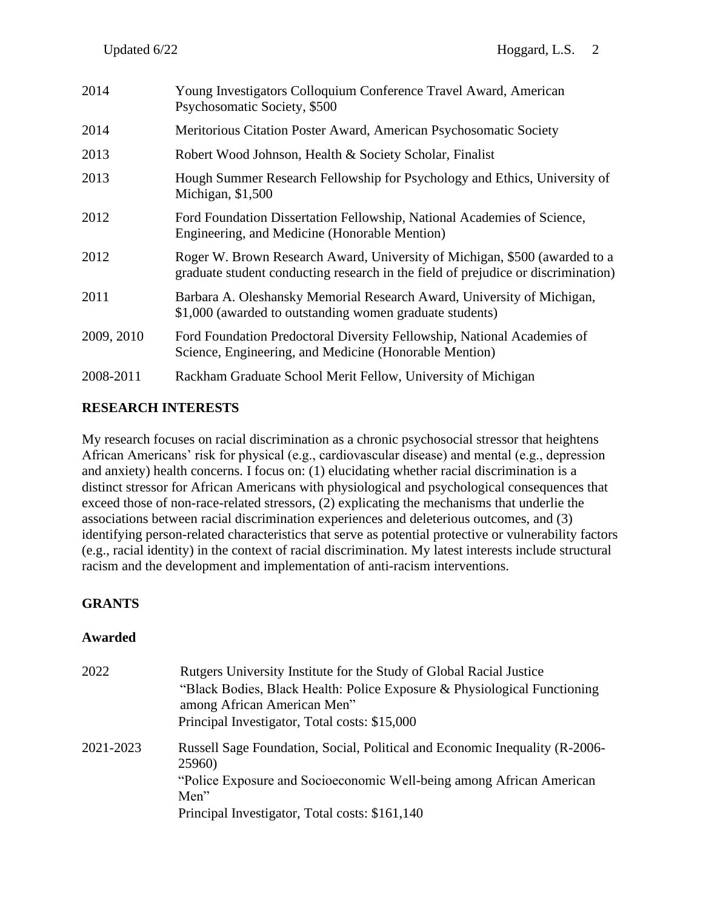| 2014       | Young Investigators Colloquium Conference Travel Award, American<br>Psychosomatic Society, \$500                                                                |
|------------|-----------------------------------------------------------------------------------------------------------------------------------------------------------------|
| 2014       | Meritorious Citation Poster Award, American Psychosomatic Society                                                                                               |
| 2013       | Robert Wood Johnson, Health & Society Scholar, Finalist                                                                                                         |
| 2013       | Hough Summer Research Fellowship for Psychology and Ethics, University of<br>Michigan, \$1,500                                                                  |
| 2012       | Ford Foundation Dissertation Fellowship, National Academies of Science,<br>Engineering, and Medicine (Honorable Mention)                                        |
| 2012       | Roger W. Brown Research Award, University of Michigan, \$500 (awarded to a<br>graduate student conducting research in the field of prejudice or discrimination) |
| 2011       | Barbara A. Oleshansky Memorial Research Award, University of Michigan,<br>\$1,000 (awarded to outstanding women graduate students)                              |
| 2009, 2010 | Ford Foundation Predoctoral Diversity Fellowship, National Academies of<br>Science, Engineering, and Medicine (Honorable Mention)                               |
| 2008-2011  | Rackham Graduate School Merit Fellow, University of Michigan                                                                                                    |

# **RESEARCH INTERESTS**

My research focuses on racial discrimination as a chronic psychosocial stressor that heightens African Americans' risk for physical (e.g., cardiovascular disease) and mental (e.g., depression and anxiety) health concerns. I focus on: (1) elucidating whether racial discrimination is a distinct stressor for African Americans with physiological and psychological consequences that exceed those of non-race-related stressors, (2) explicating the mechanisms that underlie the associations between racial discrimination experiences and deleterious outcomes, and (3) identifying person-related characteristics that serve as potential protective or vulnerability factors (e.g., racial identity) in the context of racial discrimination. My latest interests include structural racism and the development and implementation of anti-racism interventions.

# **GRANTS**

### **Awarded**

| 2022      | Rutgers University Institute for the Study of Global Racial Justice<br>"Black Bodies, Black Health: Police Exposure & Physiological Functioning<br>among African American Men"<br>Principal Investigator, Total costs: \$15,000 |
|-----------|---------------------------------------------------------------------------------------------------------------------------------------------------------------------------------------------------------------------------------|
| 2021-2023 | Russell Sage Foundation, Social, Political and Economic Inequality (R-2006-<br>25960)                                                                                                                                           |
|           | "Police Exposure and Socioeconomic Well-being among African American<br>Men"                                                                                                                                                    |
|           | Principal Investigator, Total costs: \$161,140                                                                                                                                                                                  |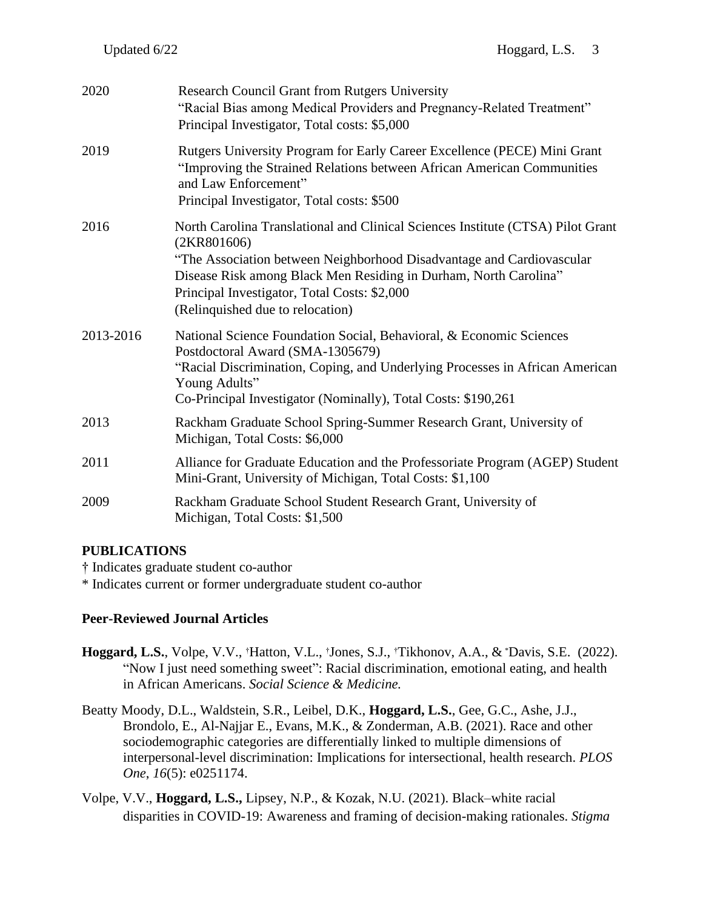| 2020      | <b>Research Council Grant from Rutgers University</b><br>"Racial Bias among Medical Providers and Pregnancy-Related Treatment"<br>Principal Investigator, Total costs: \$5,000                                                                                                                                                  |
|-----------|---------------------------------------------------------------------------------------------------------------------------------------------------------------------------------------------------------------------------------------------------------------------------------------------------------------------------------|
| 2019      | Rutgers University Program for Early Career Excellence (PECE) Mini Grant<br>"Improving the Strained Relations between African American Communities<br>and Law Enforcement"<br>Principal Investigator, Total costs: \$500                                                                                                        |
| 2016      | North Carolina Translational and Clinical Sciences Institute (CTSA) Pilot Grant<br>(2KR801606)<br>"The Association between Neighborhood Disadvantage and Cardiovascular<br>Disease Risk among Black Men Residing in Durham, North Carolina"<br>Principal Investigator, Total Costs: \$2,000<br>(Relinquished due to relocation) |
| 2013-2016 | National Science Foundation Social, Behavioral, & Economic Sciences<br>Postdoctoral Award (SMA-1305679)<br>"Racial Discrimination, Coping, and Underlying Processes in African American<br>Young Adults"<br>Co-Principal Investigator (Nominally), Total Costs: \$190,261                                                       |
| 2013      | Rackham Graduate School Spring-Summer Research Grant, University of<br>Michigan, Total Costs: \$6,000                                                                                                                                                                                                                           |
| 2011      | Alliance for Graduate Education and the Professoriate Program (AGEP) Student<br>Mini-Grant, University of Michigan, Total Costs: \$1,100                                                                                                                                                                                        |
| 2009      | Rackham Graduate School Student Research Grant, University of<br>Michigan, Total Costs: \$1,500                                                                                                                                                                                                                                 |

### **PUBLICATIONS**

† Indicates graduate student co-author

\* Indicates current or former undergraduate student co-author

### **Peer-Reviewed Journal Articles**

- **Hoggard, L.S.**, Volpe, V.V., †Hatton, V.L., †Jones, S.J., †Tikhonov, A.A., & \*Davis, S.E. (2022). "Now I just need something sweet": Racial discrimination, emotional eating, and health in African Americans. *Social Science & Medicine.*
- Beatty Moody, D.L., Waldstein, S.R., Leibel, D.K., **Hoggard, L.S.**, Gee, G.C., Ashe, J.J., Brondolo, E., Al-Najjar E., Evans, M.K., & Zonderman, A.B. (2021). Race and other sociodemographic categories are differentially linked to multiple dimensions of interpersonal-level discrimination: Implications for intersectional, health research. *PLOS One*, *16*(5): e0251174.
- Volpe, V.V., **Hoggard, L.S.,** Lipsey, N.P., & Kozak, N.U. (2021). Black–white racial disparities in COVID-19: Awareness and framing of decision-making rationales. *Stigma*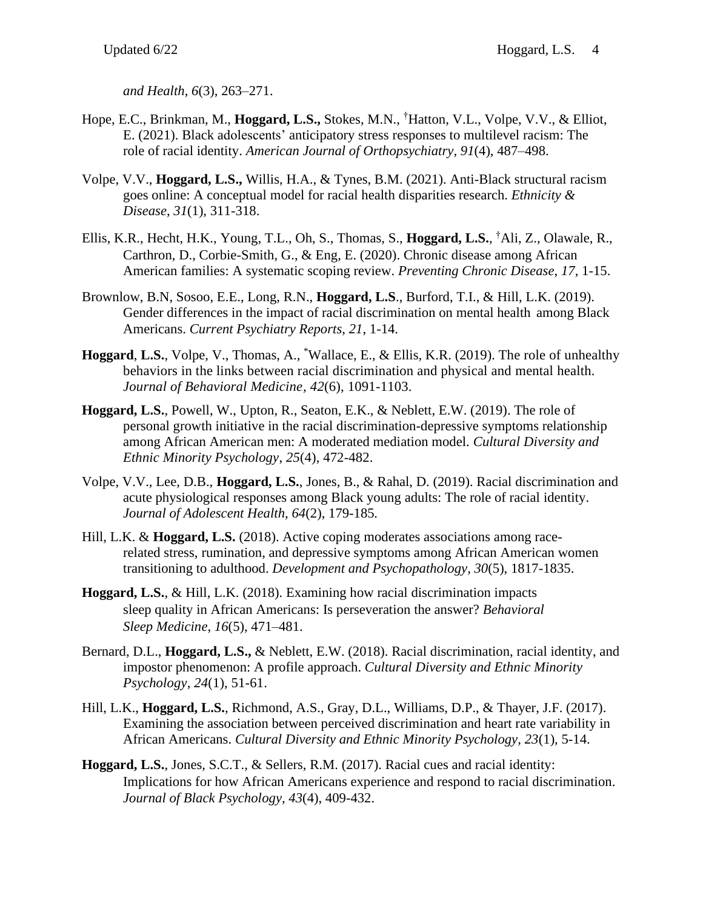*and Health*, *6*(3), 263–271.

- Hope, E.C., Brinkman, M., **Hoggard, L.S.,** Stokes, M.N., †Hatton, V.L., Volpe, V.V., & Elliot, E. (2021). Black adolescents' anticipatory stress responses to multilevel racism: The role of racial identity. *American Journal of Orthopsychiatry, 91*(4), 487–498.
- Volpe, V.V., **Hoggard, L.S.,** Willis, H.A., & Tynes, B.M. (2021). Anti-Black structural racism goes online: A conceptual model for racial health disparities research. *Ethnicity & Disease*, *31*(1), 311-318.
- Ellis, K.R., Hecht, H.K., Young, T.L., Oh, S., Thomas, S., **Hoggard, L.S.**, †Ali, Z., Olawale, R., Carthron, D., Corbie-Smith, G., & Eng, E. (2020). Chronic disease among African American families: A systematic scoping review. *Preventing Chronic Disease*, *17*, 1-15.
- Brownlow, B.N, Sosoo, E.E., Long, R.N., **Hoggard, L.S**., Burford, T.I., & Hill, L.K. (2019). Gender differences in the impact of racial discrimination on mental health among Black Americans. *Current Psychiatry Reports*, *21*, 1-14.
- **Hoggard**, **L.S.**, Volpe, V., Thomas, A., \*Wallace, E., & Ellis, K.R. (2019). The role of unhealthy behaviors in the links between racial discrimination and physical and mental health. *Journal of Behavioral Medicine, 42*(6), 1091-1103.
- **Hoggard, L.S.**, Powell, W., Upton, R., Seaton, E.K., & Neblett, E.W. (2019). The role of personal growth initiative in the racial discrimination-depressive symptoms relationship among African American men: A moderated mediation model. *Cultural Diversity and Ethnic Minority Psychology*, *25*(4), 472-482.
- Volpe, V.V., Lee, D.B., **Hoggard, L.S.**, Jones, B., & Rahal, D. (2019). Racial discrimination and acute physiological responses among Black young adults: The role of racial identity. *Journal of Adolescent Health, 64*(2), 179-185*.*
- Hill, L.K. & **Hoggard, L.S.** (2018). Active coping moderates associations among racerelated stress, rumination, and depressive symptoms among African American women transitioning to adulthood. *Development and Psychopathology, 30*(5), 1817-1835.
- **Hoggard, L.S.**, & Hill, L.K. (2018). Examining how racial discrimination impacts sleep quality in African Americans: Is perseveration the answer? *Behavioral Sleep Medicine*, *16*(5), 471–481.
- Bernard, D.L., **Hoggard, L.S.,** & Neblett, E.W. (2018). Racial discrimination, racial identity, and impostor phenomenon: A profile approach. *Cultural Diversity and Ethnic Minority Psychology, 24*(1), 51-61.
- Hill, L.K., **Hoggard, L.S.**, Richmond, A.S., Gray, D.L., Williams, D.P., & Thayer, J.F. (2017). Examining the association between perceived discrimination and heart rate variability in African Americans. *Cultural Diversity and Ethnic Minority Psychology, 23*(1), 5-14.
- **Hoggard, L.S.**, Jones, S.C.T., & Sellers, R.M. (2017). Racial cues and racial identity: Implications for how African Americans experience and respond to racial discrimination. *Journal of Black Psychology, 43*(4), 409-432.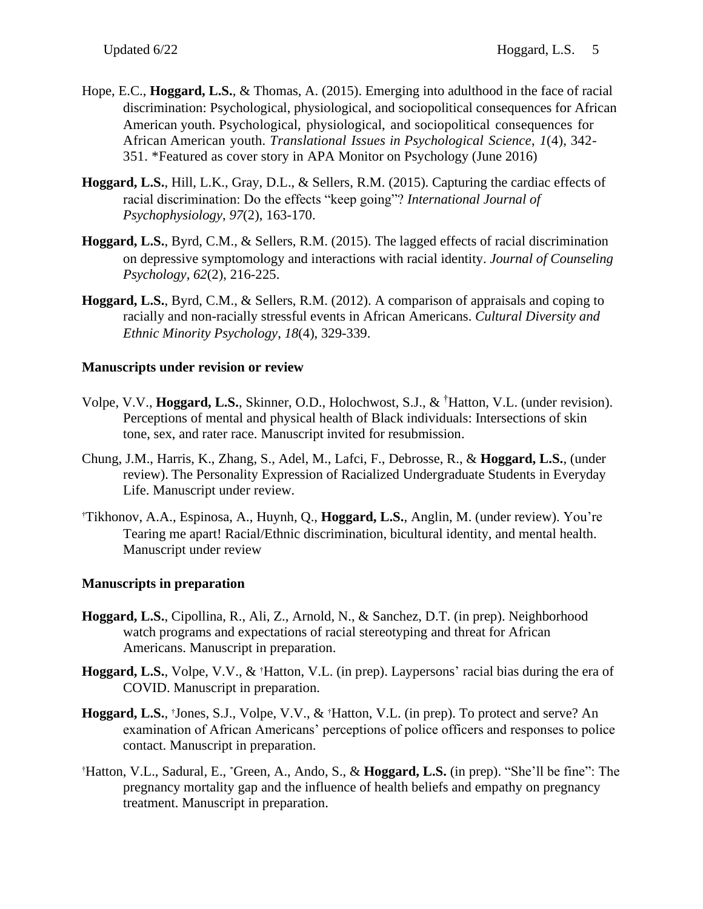- Hope, E.C., **Hoggard, L.S.**, & Thomas, A. (2015). Emerging into adulthood in the face of racial discrimination: Psychological, physiological, and sociopolitical consequences for African American youth. Psychological, physiological, and sociopolitical consequences for African American youth. *Translational Issues in Psychological Science*, *1*(4), 342- 351. \*Featured as cover story in APA Monitor on Psychology (June 2016)
- **Hoggard, L.S.**, Hill, L.K., Gray, D.L., & Sellers, R.M. (2015). Capturing the cardiac effects of racial discrimination: Do the effects "keep going"? *International Journal of Psychophysiology*, *97*(2), 163-170.
- **Hoggard, L.S.**, Byrd, C.M., & Sellers, R.M. (2015). The lagged effects of racial discrimination on depressive symptomology and interactions with racial identity. *Journal of Counseling Psychology*, *62*(2), 216-225.
- **Hoggard, L.S.**, Byrd, C.M., & Sellers, R.M. (2012). A comparison of appraisals and coping to racially and non-racially stressful events in African Americans. *Cultural Diversity and Ethnic Minority Psychology*, *18*(4), 329-339.

#### **Manuscripts under revision or review**

- Volpe, V.V., **Hoggard, L.S.**, Skinner, O.D., Holochwost, S.J., & †Hatton, V.L. (under revision). Perceptions of mental and physical health of Black individuals: Intersections of skin tone, sex, and rater race. Manuscript invited for resubmission.
- Chung, J.M., Harris, K., Zhang, S., Adel, M., Lafci, F., Debrosse, R., & **Hoggard, L.S.**, (under review). The Personality Expression of Racialized Undergraduate Students in Everyday Life. Manuscript under review.
- †Tikhonov, A.A., Espinosa, A., Huynh, Q., **Hoggard, L.S.**, Anglin, M. (under review). You're Tearing me apart! Racial/Ethnic discrimination, bicultural identity, and mental health. Manuscript under review

### **Manuscripts in preparation**

- **Hoggard, L.S.**, Cipollina, R., Ali, Z., Arnold, N., & Sanchez, D.T. (in prep). Neighborhood watch programs and expectations of racial stereotyping and threat for African Americans. Manuscript in preparation.
- **Hoggard, L.S.**, Volpe, V.V., & †Hatton, V.L. (in prep). Laypersons' racial bias during the era of COVID. Manuscript in preparation.
- **Hoggard, L.S.**, †Jones, S.J., Volpe, V.V., & †Hatton, V.L. (in prep). To protect and serve? An examination of African Americans' perceptions of police officers and responses to police contact. Manuscript in preparation.
- †Hatton, V.L., Sadural, E., \*Green, A., Ando, S., & **Hoggard, L.S.** (in prep). "She'll be fine": The pregnancy mortality gap and the influence of health beliefs and empathy on pregnancy treatment. Manuscript in preparation.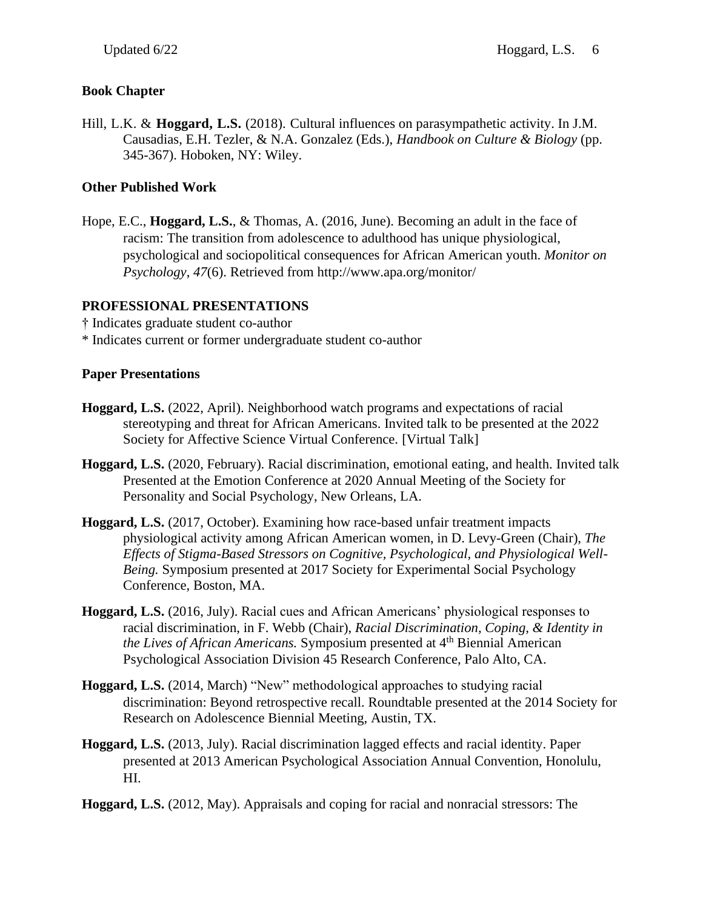## **Book Chapter**

Hill, L.K. & **Hoggard, L.S.** (2018). Cultural influences on parasympathetic activity. In J.M. Causadias, E.H. Tezler, & N.A. Gonzalez (Eds.), *Handbook on Culture & Biology* (pp. 345-367). Hoboken, NY: Wiley.

## **Other Published Work**

Hope, E.C., **Hoggard, L.S.**, & Thomas, A. (2016, June). Becoming an adult in the face of racism: The transition from adolescence to adulthood has unique physiological, psychological and sociopolitical consequences for African American youth. *Monitor on Psychology*, *47*(6). Retrieved from http://www.apa.org/monitor/

### **PROFESSIONAL PRESENTATIONS**

- † Indicates graduate student co-author
- \* Indicates current or former undergraduate student co-author

### **Paper Presentations**

- **Hoggard, L.S.** (2022, April). Neighborhood watch programs and expectations of racial stereotyping and threat for African Americans. Invited talk to be presented at the 2022 Society for Affective Science Virtual Conference. [Virtual Talk]
- **Hoggard, L.S.** (2020, February). Racial discrimination, emotional eating, and health. Invited talk Presented at the Emotion Conference at 2020 Annual Meeting of the Society for Personality and Social Psychology, New Orleans, LA.
- **Hoggard, L.S.** (2017, October). Examining how race-based unfair treatment impacts physiological activity among African American women, in D. Levy-Green (Chair), *The Effects of Stigma-Based Stressors on Cognitive, Psychological, and Physiological Well-Being.* Symposium presented at 2017 Society for Experimental Social Psychology Conference, Boston, MA.
- **Hoggard, L.S.** (2016, July). Racial cues and African Americans' physiological responses to racial discrimination, in F. Webb (Chair), *Racial Discrimination, Coping, & Identity in the Lives of African Americans.* Symposium presented at 4<sup>th</sup> Biennial American Psychological Association Division 45 Research Conference, Palo Alto, CA.
- **Hoggard, L.S.** (2014, March) "New" methodological approaches to studying racial discrimination: Beyond retrospective recall. Roundtable presented at the 2014 Society for Research on Adolescence Biennial Meeting, Austin, TX.
- **Hoggard, L.S.** (2013, July). Racial discrimination lagged effects and racial identity. Paper presented at 2013 American Psychological Association Annual Convention, Honolulu, HI.
- **Hoggard, L.S.** (2012, May). Appraisals and coping for racial and nonracial stressors: The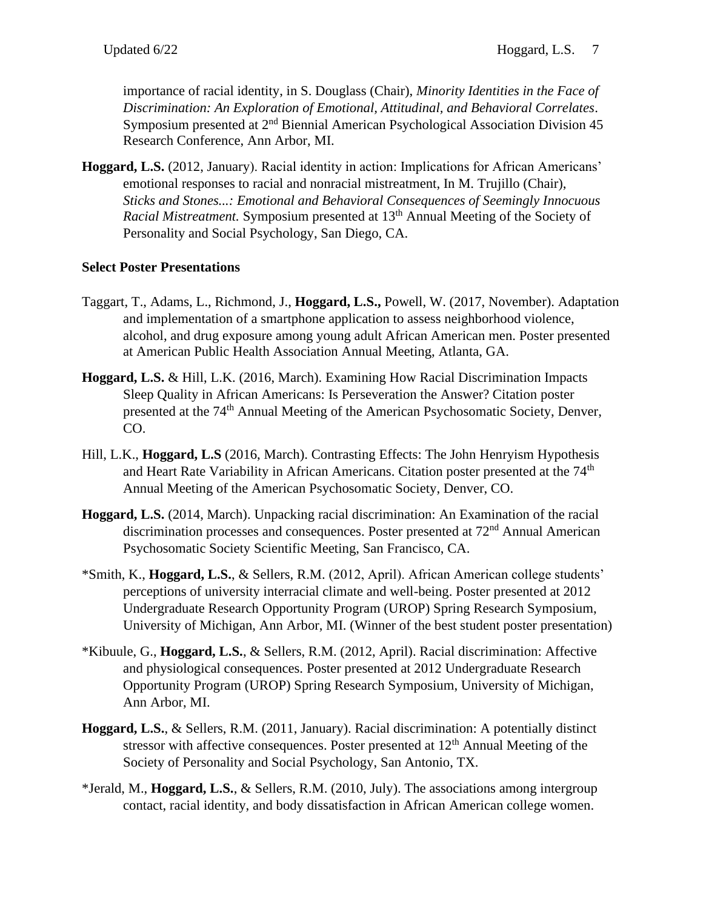importance of racial identity, in S. Douglass (Chair), *Minority Identities in the Face of Discrimination: An Exploration of Emotional, Attitudinal, and Behavioral Correlates*. Symposium presented at 2<sup>nd</sup> Biennial American Psychological Association Division 45 Research Conference, Ann Arbor, MI.

**Hoggard, L.S.** (2012, January). Racial identity in action: Implications for African Americans' emotional responses to racial and nonracial mistreatment, In M. Trujillo (Chair), *Sticks and Stones...: Emotional and Behavioral Consequences of Seemingly Innocuous Racial Mistreatment.* Symposium presented at 13<sup>th</sup> Annual Meeting of the Society of Personality and Social Psychology, San Diego, CA.

# **Select Poster Presentations**

- Taggart, T., Adams, L., Richmond, J., **Hoggard, L.S.,** Powell, W. (2017, November). Adaptation and implementation of a smartphone application to assess neighborhood violence, alcohol, and drug exposure among young adult African American men. Poster presented at American Public Health Association Annual Meeting, Atlanta, GA.
- **Hoggard, L.S.** & Hill, L.K. (2016, March). Examining How Racial Discrimination Impacts Sleep Quality in African Americans: Is Perseveration the Answer? Citation poster presented at the 74th Annual Meeting of the American Psychosomatic Society, Denver, CO.
- Hill, L.K., **Hoggard, L.S** (2016, March). Contrasting Effects: The John Henryism Hypothesis and Heart Rate Variability in African Americans. Citation poster presented at the 74<sup>th</sup> Annual Meeting of the American Psychosomatic Society, Denver, CO.
- **Hoggard, L.S.** (2014, March). Unpacking racial discrimination: An Examination of the racial discrimination processes and consequences. Poster presented at 72<sup>nd</sup> Annual American Psychosomatic Society Scientific Meeting, San Francisco, CA.
- \*Smith, K., **Hoggard, L.S.**, & Sellers, R.M. (2012, April). African American college students' perceptions of university interracial climate and well-being. Poster presented at 2012 Undergraduate Research Opportunity Program (UROP) Spring Research Symposium, University of Michigan, Ann Arbor, MI. (Winner of the best student poster presentation)
- \*Kibuule, G., **Hoggard, L.S.**, & Sellers, R.M. (2012, April). Racial discrimination: Affective and physiological consequences. Poster presented at 2012 Undergraduate Research Opportunity Program (UROP) Spring Research Symposium, University of Michigan, Ann Arbor, MI.
- **Hoggard, L.S.**, & Sellers, R.M. (2011, January). Racial discrimination: A potentially distinct stressor with affective consequences. Poster presented at  $12<sup>th</sup>$  Annual Meeting of the Society of Personality and Social Psychology, San Antonio, TX.
- \*Jerald, M., **Hoggard, L.S.**, & Sellers, R.M. (2010, July). The associations among intergroup contact, racial identity, and body dissatisfaction in African American college women.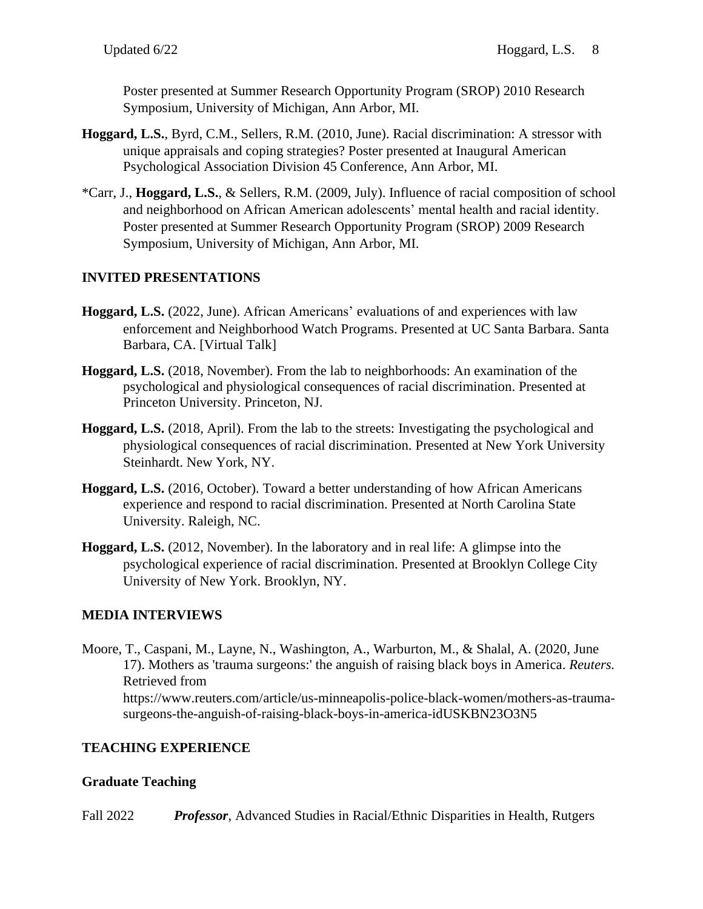Poster presented at Summer Research Opportunity Program (SROP) 2010 Research Symposium, University of Michigan, Ann Arbor, MI.

- **Hoggard, L.S.**, Byrd, C.M., Sellers, R.M. (2010, June). Racial discrimination: A stressor with unique appraisals and coping strategies? Poster presented at Inaugural American Psychological Association Division 45 Conference, Ann Arbor, MI.
- \*Carr, J., **Hoggard, L.S.**, & Sellers, R.M. (2009, July). Influence of racial composition of school and neighborhood on African American adolescents' mental health and racial identity. Poster presented at Summer Research Opportunity Program (SROP) 2009 Research Symposium, University of Michigan, Ann Arbor, MI.

# **INVITED PRESENTATIONS**

- **Hoggard, L.S.** (2022, June). African Americans' evaluations of and experiences with law enforcement and Neighborhood Watch Programs. Presented at UC Santa Barbara. Santa Barbara, CA. [Virtual Talk]
- **Hoggard, L.S.** (2018, November). From the lab to neighborhoods: An examination of the psychological and physiological consequences of racial discrimination. Presented at Princeton University. Princeton, NJ.
- **Hoggard, L.S.** (2018, April). From the lab to the streets: Investigating the psychological and physiological consequences of racial discrimination. Presented at New York University Steinhardt. New York, NY.
- **Hoggard, L.S.** (2016, October). Toward a better understanding of how African Americans experience and respond to racial discrimination. Presented at North Carolina State University. Raleigh, NC.
- **Hoggard, L.S.** (2012, November). In the laboratory and in real life: A glimpse into the psychological experience of racial discrimination. Presented at Brooklyn College City University of New York. Brooklyn, NY.

# **MEDIA INTERVIEWS**

Moore, T., Caspani, M., Layne, N., Washington, A., Warburton, M., & Shalal, A. (2020, June 17). Mothers as 'trauma surgeons:' the anguish of raising black boys in America. *Reuters.* Retrieved from https://www.reuters.com/article/us-minneapolis-police-black-women/mothers-as-traumasurgeons-the-anguish-of-raising-black-boys-in-america-idUSKBN23O3N5

# **TEACHING EXPERIENCE**

# **Graduate Teaching**

Fall 2022 *Professor*, Advanced Studies in Racial/Ethnic Disparities in Health, Rutgers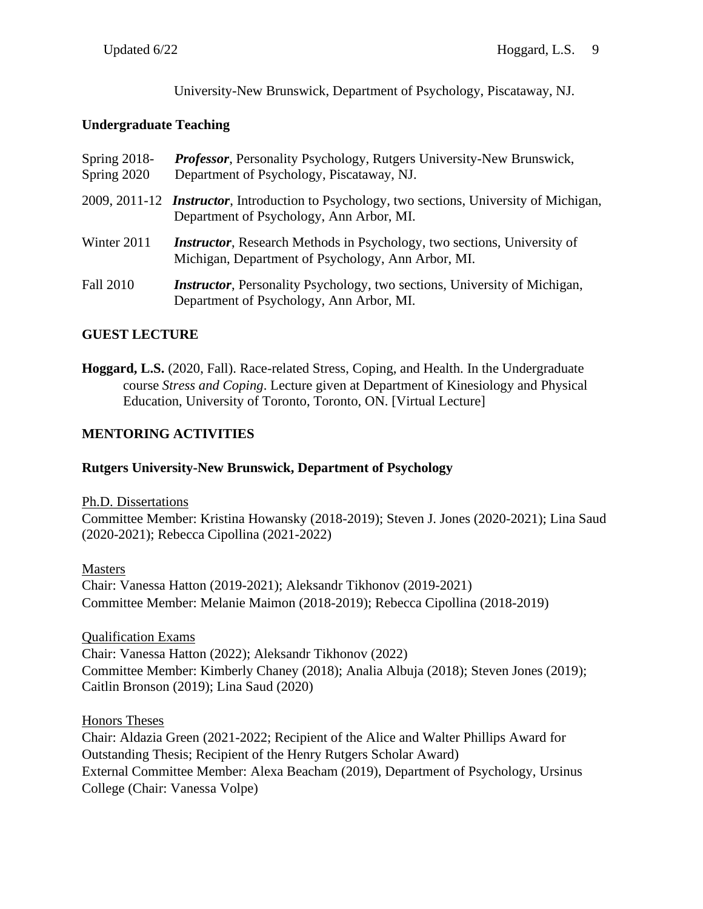University-New Brunswick, Department of Psychology, Piscataway, NJ.

## **Undergraduate Teaching**

| Spring $2018$ -<br>Spring 2020 | <b>Professor</b> , Personality Psychology, Rutgers University-New Brunswick,<br>Department of Psychology, Piscataway, NJ.                       |
|--------------------------------|-------------------------------------------------------------------------------------------------------------------------------------------------|
|                                | 2009, 2011-12 <i>Instructor</i> , Introduction to Psychology, two sections, University of Michigan,<br>Department of Psychology, Ann Arbor, MI. |
| Winter 2011                    | <i>Instructor</i> , Research Methods in Psychology, two sections, University of<br>Michigan, Department of Psychology, Ann Arbor, MI.           |
| <b>Fall 2010</b>               | <i>Instructor</i> , Personality Psychology, two sections, University of Michigan,<br>Department of Psychology, Ann Arbor, MI.                   |

# **GUEST LECTURE**

**Hoggard, L.S.** (2020, Fall). Race-related Stress, Coping, and Health. In the Undergraduate course *Stress and Coping*. Lecture given at Department of Kinesiology and Physical Education, University of Toronto, Toronto, ON. [Virtual Lecture]

# **MENTORING ACTIVITIES**

### **Rutgers University-New Brunswick, Department of Psychology**

### Ph.D. Dissertations

Committee Member: Kristina Howansky (2018-2019); Steven J. Jones (2020-2021); Lina Saud (2020-2021); Rebecca Cipollina (2021-2022)

Masters Chair: Vanessa Hatton (2019-2021); Aleksandr Tikhonov (2019-2021) Committee Member: Melanie Maimon (2018-2019); Rebecca Cipollina (2018-2019)

Qualification Exams Chair: Vanessa Hatton (2022); Aleksandr Tikhonov (2022) Committee Member: Kimberly Chaney (2018); Analia Albuja (2018); Steven Jones (2019); Caitlin Bronson (2019); Lina Saud (2020)

Honors Theses Chair: Aldazia Green (2021-2022; Recipient of the Alice and Walter Phillips Award for Outstanding Thesis; Recipient of the Henry Rutgers Scholar Award) External Committee Member: Alexa Beacham (2019), Department of Psychology, Ursinus College (Chair: Vanessa Volpe)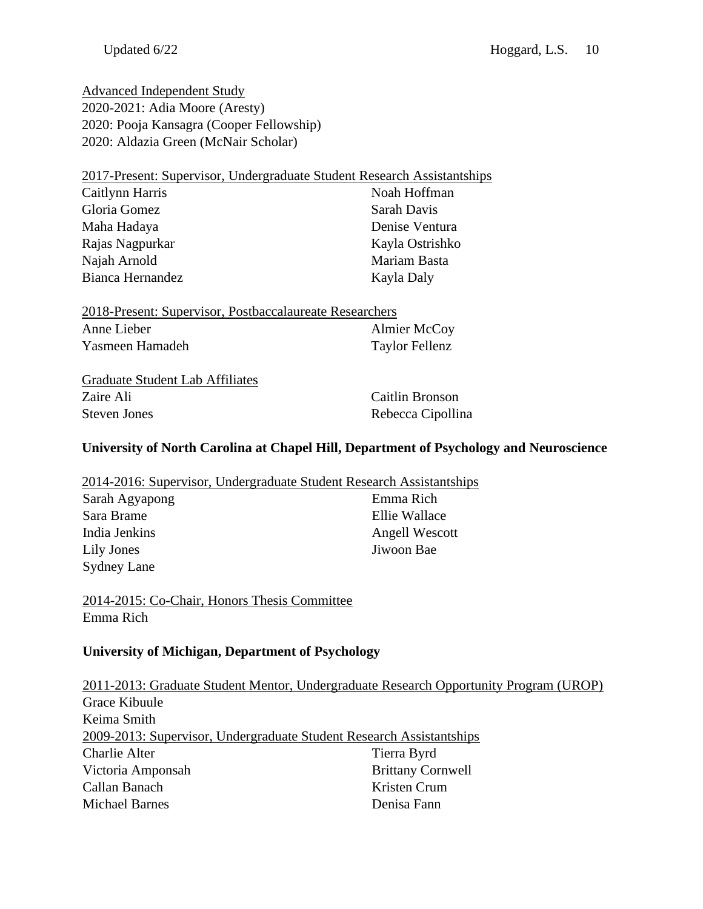Advanced Independent Study 2020-2021: Adia Moore (Aresty) 2020: Pooja Kansagra (Cooper Fellowship) 2020: Aldazia Green (McNair Scholar)

| 2017-Present: Supervisor, Undergraduate Student Research Assistantships |                 |
|-------------------------------------------------------------------------|-----------------|
| Caitlynn Harris                                                         | Noah Hoffman    |
| Gloria Gomez                                                            | Sarah Davis     |
| Maha Hadaya                                                             | Denise Ventura  |
| Rajas Nagpurkar                                                         | Kayla Ostrishko |
| Najah Arnold                                                            | Mariam Basta    |
| Bianca Hernandez                                                        | Kayla Daly      |

| 2018-Present: Supervisor, Postbaccalaureate Researchers |                     |  |
|---------------------------------------------------------|---------------------|--|
| Anne Lieber                                             | <b>Almier McCoy</b> |  |
| Yasmeen Hamadeh                                         | Taylor Fellenz      |  |

| <b>Graduate Student Lab Affiliates</b> |
|----------------------------------------|
| Zaire Ali                              |
| <b>Steven Jones</b>                    |

Caitlin Bronson Rebecca Cipollina

### **University of North Carolina at Chapel Hill, Department of Psychology and Neuroscience**

| 2014-2016: Supervisor, Undergraduate Student Research Assistantships |                |
|----------------------------------------------------------------------|----------------|
| Sarah Agyapong                                                       | Emma Rich      |
| Sara Brame                                                           | Ellie Wallace  |
| India Jenkins                                                        | Angell Wescott |
| Lily Jones                                                           | Jiwoon Bae     |
| <b>Sydney Lane</b>                                                   |                |

2014-2015: Co-Chair, Honors Thesis Committee Emma Rich

## **University of Michigan, Department of Psychology**

|                                                                      | 2011-2013: Graduate Student Mentor, Undergraduate Research Opportunity Program (UROP) |
|----------------------------------------------------------------------|---------------------------------------------------------------------------------------|
| Grace Kibuule                                                        |                                                                                       |
| Keima Smith                                                          |                                                                                       |
| 2009-2013: Supervisor, Undergraduate Student Research Assistantships |                                                                                       |
| <b>Charlie Alter</b>                                                 | Tierra Byrd                                                                           |
| Victoria Amponsah                                                    | <b>Brittany Cornwell</b>                                                              |
| Callan Banach                                                        | Kristen Crum                                                                          |
| <b>Michael Barnes</b>                                                | Denisa Fann                                                                           |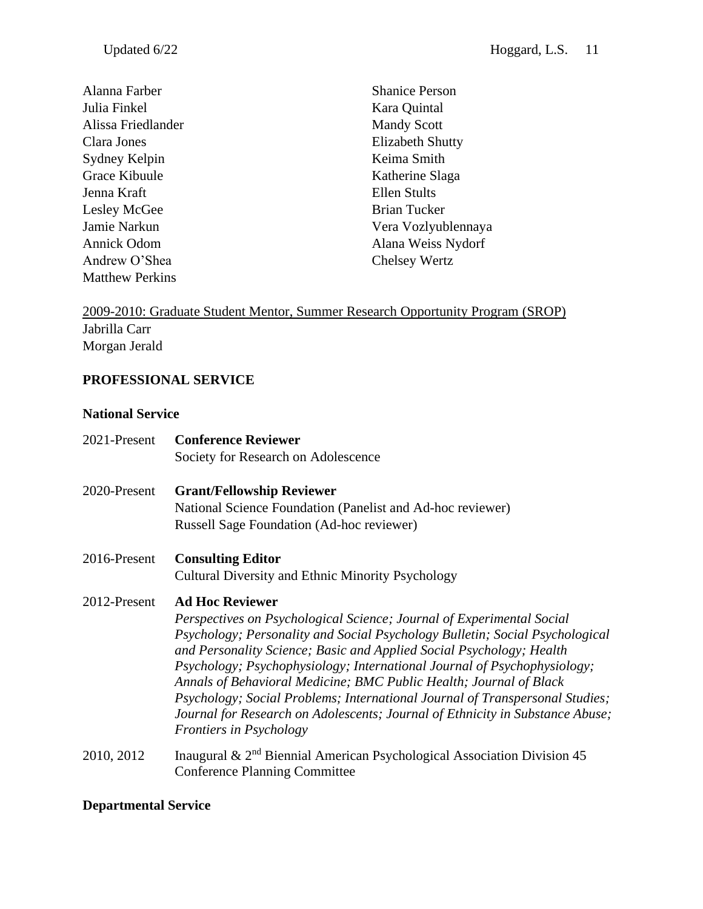Alanna Farber Julia Finkel Alissa Friedlander Clara Jones Sydney Kelpin Grace Kibuule Jenna Kraft Lesley McGee Jamie Narkun Annick Odom Andrew O'Shea Matthew Perkins

Shanice Person Kara Quintal Mandy Scott Elizabeth Shutty Keima Smith Katherine Slaga Ellen Stults Brian Tucker Vera Vozlyublennaya Alana Weiss Nydorf Chelsey Wertz

# 2009-2010: Graduate Student Mentor, Summer Research Opportunity Program (SROP) Jabrilla Carr Morgan Jerald

### **PROFESSIONAL SERVICE**

#### **National Service**

| 2021-Present | <b>Conference Reviewer</b>                                                                                                                           |
|--------------|------------------------------------------------------------------------------------------------------------------------------------------------------|
|              | Society for Research on Adolescence                                                                                                                  |
| 2020-Present | <b>Grant/Fellowship Reviewer</b>                                                                                                                     |
|              | National Science Foundation (Panelist and Ad-hoc reviewer)                                                                                           |
|              | Russell Sage Foundation (Ad-hoc reviewer)                                                                                                            |
| 2016-Present | <b>Consulting Editor</b>                                                                                                                             |
|              | Cultural Diversity and Ethnic Minority Psychology                                                                                                    |
| 2012-Present | <b>Ad Hoc Reviewer</b>                                                                                                                               |
|              | Perspectives on Psychological Science; Journal of Experimental Social                                                                                |
|              | Psychology; Personality and Social Psychology Bulletin; Social Psychological<br>and Personality Science; Basic and Applied Social Psychology; Health |
|              | Psychology; Psychophysiology; International Journal of Psychophysiology;<br>Annals of Behavioral Medicine; BMC Public Health; Journal of Black       |
|              | Psychology; Social Problems; International Journal of Transpersonal Studies;                                                                         |
|              | Journal for Research on Adolescents; Journal of Ethnicity in Substance Abuse;                                                                        |
|              | <b>Frontiers in Psychology</b>                                                                                                                       |
| 2010, 2012   | Inaugural & $2nd$ Biennial American Psychological Association Division 45<br><b>Conference Planning Committee</b>                                    |
|              |                                                                                                                                                      |

#### **Departmental Service**